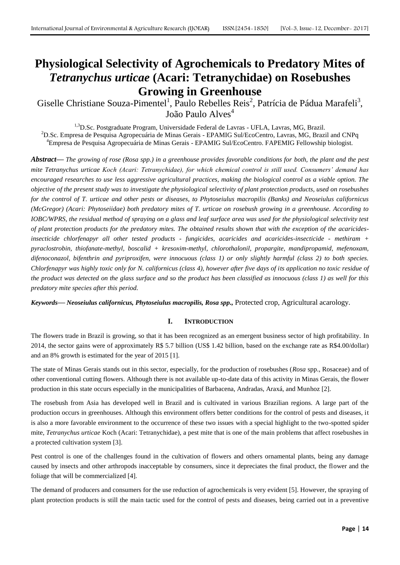# **Physiological Selectivity of Agrochemicals to Predatory Mites of**  *Tetranychus urticae* **(Acari: Tetranychidae) on Rosebushes Growing in Greenhouse**

Giselle Christiane Souza-Pimentel<sup>1</sup>, Paulo Rebelles Reis<sup>2</sup>, Patrícia de Pádua Marafeli<sup>3</sup>, João Paulo Alves<sup>4</sup>

<sup>1,3</sup>D.Sc. Postgraduate Program, Universidade Federal de Lavras - UFLA, Lavras, MG, Brazil. <sup>2</sup>D.Sc. Empresa de Pesquisa Agropecuária de Minas Gerais - EPAMIG Sul/EcoCentro, Lavras, MG, Brazil and CNPq <sup>4</sup>Empresa de Pesquisa Agropecuária de Minas Gerais - EPAMIG Sul/EcoCentro. FAPEMIG Fellowship biologist.

*Abstract***—** *The growing of rose (Rosa spp.) in a greenhouse provides favorable conditions for both, the plant and the pest mite Tetranychus urticae Koch (Acari: Tetranychidae), for which chemical control is still used. Consumers' demand has encouraged researches to use less aggressive agricultural practices, making the biological control as a viable option. The objective of the present study was to investigate the physiological selectivity of plant protection products, used on rosebushes for the control of T. urticae and other pests or diseases, to Phytoseiulus macropilis (Banks) and Neoseiulus californicus (McGregor) (Acari: Phytoseiidae) both predatory mites of T. urticae on rosebush growing in a greenhouse. According to IOBC/WPRS, the residual method of spraying on a glass and leaf surface area was used for the physiological selectivity test of plant protection products for the predatory mites. The obtained results shown that with the exception of the acaricidesinsecticide chlorfenapyr all other tested products - fungicides, acaricides and acaricides-insecticide - methiram + pyraclostrobin, thiofanate-methyl, boscalid + kresoxim-methyl, chlorothalonil, propargite, mandipropamid, mefenoxam, difenoconazol, bifenthrin and pyriproxifen, were innocuous (class 1) or only slightly harmful (class 2) to both species. Chlorfenapyr was highly toxic only for N. californicus (class 4), however after five days of its application no toxic residue of the product was detected on the glass surface and so the product has been classified as innocuous (class 1) as well for this predatory mite species after this period.*

*Keywords***—** *Neoseiulus californicus, Phytoseiulus macropilis, Rosa spp.,* Protected crop, Agricultural acarology.

# **I. INTRODUCTION**

The flowers trade in Brazil is growing, so that it has been recognized as an emergent business sector of high profitability. In 2014, the sector gains were of approximately R\$ 5.7 billion (US\$ 1.42 billion, based on the exchange rate as R\$4.00/dollar) and an 8% growth is estimated for the year of 2015 [1].

The state of Minas Gerais stands out in this sector, especially, for the production of rosebushes (*Rosa* spp., Rosaceae) and of other conventional cutting flowers. Although there is not available up-to-date data of this activity in Minas Gerais, the flower production in this state occurs especially in the municipalities of Barbacena, Andradas, Araxá, and Munhoz [2].

The rosebush from Asia has developed well in Brazil and is cultivated in various Brazilian regions. A large part of the production occurs in greenhouses. Although this environment offers better conditions for the control of pests and diseases, it is also a more favorable environment to the occurrence of these two issues with a special highlight to the two-spotted spider mite, *Tetranychus urticae* Koch (Acari: Tetranychidae), a pest mite that is one of the main problems that affect rosebushes in a protected cultivation system [3].

Pest control is one of the challenges found in the cultivation of flowers and others ornamental plants, being any damage caused by insects and other arthropods inacceptable by consumers, since it depreciates the final product, the flower and the foliage that will be commercialized [4].

The demand of producers and consumers for the use reduction of agrochemicals is very evident [5]. However, the spraying of plant protection products is still the main tactic used for the control of pests and diseases, being carried out in a preventive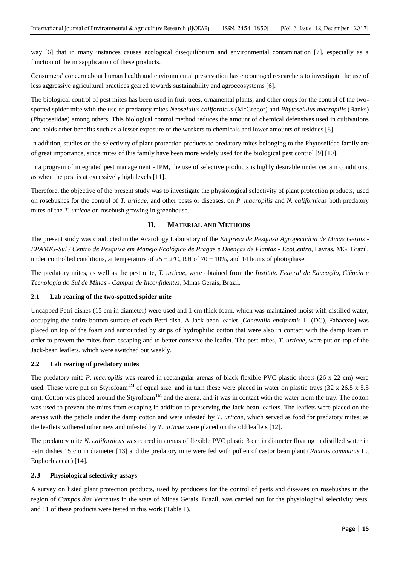way [6] that in many instances causes ecological disequilibrium and environmental contamination [7], especially as a function of the misapplication of these products.

Consumers' concern about human health and environmental preservation has encouraged researchers to investigate the use of less aggressive agricultural practices geared towards sustainability and agroecosystems [6].

The biological control of pest mites has been used in fruit trees, ornamental plants, and other crops for the control of the twospotted spider mite with the use of predatory mites *Neoseiulus californicus* (McGregor) and *Phytoseiulus macropilis* (Banks) (Phytoseiidae) among others. This biological control method reduces the amount of chemical defensives used in cultivations and holds other benefits such as a lesser exposure of the workers to chemicals and lower amounts of residues [8].

In addition, studies on the selectivity of plant protection products to predatory mites belonging to the Phytoseiidae family are of great importance, since mites of this family have been more widely used for the biological pest control [9] [10].

In a program of integrated pest management - IPM, the use of selective products is highly desirable under certain conditions, as when the pest is at excessively high levels [11].

Therefore, the objective of the present study was to investigate the physiological selectivity of plant protection products, used on rosebushes for the control of *T. urticae*, and other pests or diseases, on *P. macropilis* and *N. californicus* both predatory mites of the *T. urticae* on rosebush growing in greenhouse.

## **II. MATERIAL AND METHODS**

The present study was conducted in the Acarology Laboratory of the *Empresa de Pesquisa Agropecuária de Minas Gerais - EPAMIG-Sul / Centro de Pesquisa em Manejo Ecológico de Pragas e Doenças de Plantas - EcoCentro*, Lavras, MG, Brazil, under controlled conditions, at temperature of  $25 \pm 2^{\circ}$ C, RH of  $70 \pm 10\%$ , and 14 hours of photophase.

The predatory mites, as well as the pest mite, *T. urticae*, were obtained from the *Instituto Federal de Educação, Ciência e Tecnologia do Sul de Minas - Campus de Inconfidentes*, Minas Gerais, Brazil.

#### **2.1 Lab rearing of the two-spotted spider mite**

Uncapped Petri dishes (15 cm in diameter) were used and 1 cm thick foam, which was maintained moist with distilled water, occupying the entire bottom surface of each Petri dish. A Jack-bean leaflet [*Canavalia ensiformis* L. (DC), Fabaceae] was placed on top of the foam and surrounded by strips of hydrophilic cotton that were also in contact with the damp foam in order to prevent the mites from escaping and to better conserve the leaflet. The pest mites, *T. urticae*, were put on top of the Jack-bean leaflets, which were switched out weekly.

## **2.2 Lab rearing of predatory mites**

The predatory mite *P. macropilis* was reared in rectangular arenas of black flexible PVC plastic sheets (26 x 22 cm) were used. These were put on Styrofoam<sup>TM</sup> of equal size, and in turn these were placed in water on plastic trays (32 x 26.5 x 5.5) cm). Cotton was placed around the Styrofoam<sup>TM</sup> and the arena, and it was in contact with the water from the tray. The cotton was used to prevent the mites from escaping in addition to preserving the Jack-bean leaflets. The leaflets were placed on the arenas with the petiole under the damp cotton and were infested by *T. urticae*, which served as food for predatory mites; as the leaflets withered other new and infested by *T. urticae* were placed on the old leaflets [12].

The predatory mite *N. californicus* was reared in arenas of flexible PVC plastic 3 cm in diameter floating in distilled water in Petri dishes 15 cm in diameter [13] and the predatory mite were fed with pollen of castor bean plant (*Ricinus communis* L., Euphorbiaceae) [14].

#### **2.3 Physiological selectivity assays**

A survey on listed plant protection products, used by producers for the control of pests and diseases on rosebushes in the region of *Campos das Vertentes* in the state of Minas Gerais, Brazil, was carried out for the physiological selectivity tests, and 11 of these products were tested in this work (Table 1).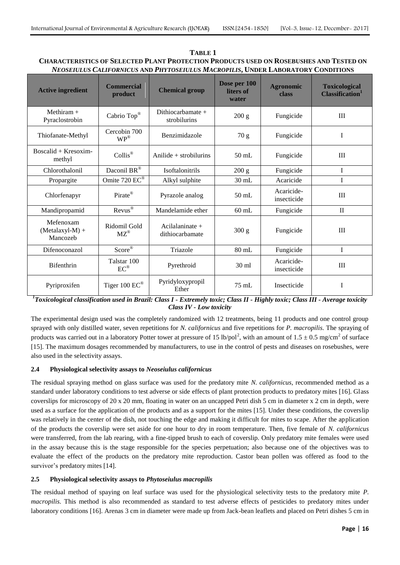| TABLE 1                                                                                       |
|-----------------------------------------------------------------------------------------------|
| <b>CHARACTERISTICS OF SELECTED PLANT PROTECTION PRODUCTS USED ON ROSEBUSHES AND TESTED ON</b> |
| <i>Neoseiulus Californicus and Phytoseiulus Macropilis.</i> Under Laboratory Conditions       |

| <b>Active ingredient</b>                   | <b>Commercial</b><br>product            | <b>Chemical group</b>                | Dose per 100<br>liters of<br>water | <b>Agronomic</b><br>class | <b>Toxicological</b><br>Classification <sup>1</sup> |
|--------------------------------------------|-----------------------------------------|--------------------------------------|------------------------------------|---------------------------|-----------------------------------------------------|
| Methiram $+$<br>Pyraclostrobin             | Cabrio Top®                             | Dithiocarbamate $+$<br>strobilurins  | 200 g                              | Fungicide                 | III                                                 |
| Thiofanate-Methyl                          | Cercobin 700<br>$\mathbf{WP}^\circledR$ | Benzimidazole                        | 70 g                               | Fungicide                 | I                                                   |
| $Boscalid + Kresoxim-$<br>methyl           | $Collis^{\circledR}$                    | Anilide $+$ strobilurins             | $50$ mL                            | Fungicide                 | III                                                 |
| Chlorothalonil                             | Daconil BR®                             | <b>Isoftalonitrils</b>               | 200 g                              | Fungicide                 | I                                                   |
| Propargite                                 | Omite 720 EC®                           | Alkyl sulphite                       | $30$ mL                            | Acaricide                 | I                                                   |
| Chlorfenapyr                               | Pirate®                                 | Pyrazole analog                      | $50$ mL                            | Acaricide-<br>insecticide | III                                                 |
| Mandipropamid                              | Revus®                                  | Mandelamide ether                    | $60$ mL                            | Fungicide                 | $\mathbf{I}$                                        |
| Mefenoxam<br>$(Metalaxyl-M) +$<br>Mancozeb | Ridomil Gold<br>$MZ^{\circledR}$        | Acilalaninate $+$<br>dithiocarbamate | 300 g                              | Fungicide                 | III                                                 |
| Difenoconazol                              | Score®                                  | Triazole                             | $80$ mL                            | Fungicide                 | I                                                   |
| <b>Bifenthrin</b>                          | Talstar 100<br>$EC^{\circledR}$         | Pyrethroid                           | 30 ml                              | Acaricide-<br>insecticide | Ш                                                   |
| Pyriproxifen                               | Tiger 100 EC®                           | Pyridyloxypropil<br>Ether            | $75$ mL                            | Insecticide               | I                                                   |

*<sup>1</sup>Toxicological classification used in Brazil: Class I - Extremely toxic; Class II - Highly toxic; Class III - Average toxicity Class IV - Low toxicity*

The experimental design used was the completely randomized with 12 treatments, being 11 products and one control group sprayed with only distilled water, seven repetitions for *N. californicus* and five repetitions for *P. macropilis*. The spraying of products was carried out in a laboratory Potter tower at pressure of 15 lb/pol<sup>2</sup>, with an amount of  $1.5 \pm 0.5$  mg/cm<sup>2</sup> of surface [15]. The maximum dosages recommended by manufacturers, to use in the control of pests and diseases on rosebushes, were also used in the selectivity assays.

# **2.4 Physiological selectivity assays to** *Neoseiulus californicus*

The residual spraying method on glass surface was used for the predatory mite *N. californicus*, recommended method as a standard under laboratory conditions to test adverse or side effects of plant protection products to predatory mites [16]. Glass coverslips for microscopy of 20 x 20 mm, floating in water on an uncapped Petri dish 5 cm in diameter x 2 cm in depth, were used as a surface for the application of the products and as a support for the mites [15]. Under these conditions, the coverslip was relatively in the center of the dish, not touching the edge and making it difficult for mites to scape. After the application of the products the coverslip were set aside for one hour to dry in room temperature. Then, five female of *N. californicus* were transferred, from the lab rearing, with a fine-tipped brush to each of coverslip. Only predatory mite females were used in the assay because this is the stage responsible for the species perpetuation; also because one of the objectives was to evaluate the effect of the products on the predatory mite reproduction. Castor bean pollen was offered as food to the survivor's predatory mites [14].

# **2.5 Physiological selectivity assays to** *Phytoseiulus macropilis*

The residual method of spaying on leaf surface was used for the physiological selectivity tests to the predatory mite *P. macropilis*. This method is also recommended as standard to test adverse effects of pesticides to predatory mites under laboratory conditions [16]. Arenas 3 cm in diameter were made up from Jack-bean leaflets and placed on Petri dishes 5 cm in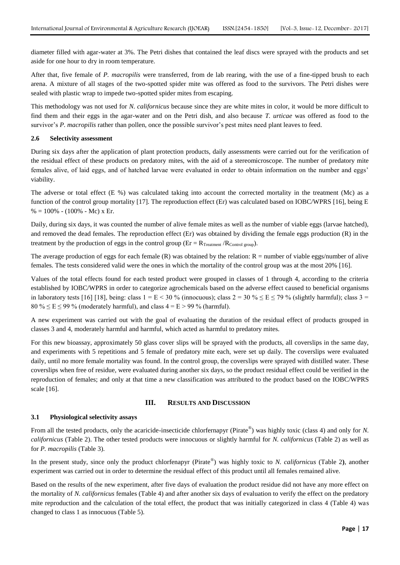diameter filled with agar-water at 3%. The Petri dishes that contained the leaf discs were sprayed with the products and set aside for one hour to dry in room temperature.

After that, five female of *P. macropilis* were transferred, from de lab rearing, with the use of a fine-tipped brush to each arena. A mixture of all stages of the two-spotted spider mite was offered as food to the survivors. The Petri dishes were sealed with plastic wrap to impede two-spotted spider mites from escaping.

This methodology was not used for *N. californicus* because since they are white mites in color, it would be more difficult to find them and their eggs in the agar-water and on the Petri dish, and also because *T. urticae* was offered as food to the survivor's *P. macropilis* rather than pollen, once the possible survivor's pest mites need plant leaves to feed.

## **2.6 Selectivity assessment**

During six days after the application of plant protection products, daily assessments were carried out for the verification of the residual effect of these products on predatory mites, with the aid of a stereomicroscope. The number of predatory mite females alive, of laid eggs, and of hatched larvae were evaluated in order to obtain information on the number and eggs' viability.

The adverse or total effect  $(E\% )$  was calculated taking into account the corrected mortality in the treatment (Mc) as a function of the control group mortality [17]. The reproduction effect (Er) was calculated based on IOBC/WPRS [16], being E  $% = 100\% - (100\% - Mc)$  x Er.

Daily, during six days, it was counted the number of alive female mites as well as the number of viable eggs (larvae hatched), and removed the dead females. The reproduction effect (Er) was obtained by dividing the female eggs production (R) in the treatment by the production of eggs in the control group ( $Er = R_{Treatment} / R_{Control\ group}$ ).

The average production of eggs for each female  $(R)$  was obtained by the relation:  $R =$  number of viable eggs/number of alive females. The tests considered valid were the ones in which the mortality of the control group was at the most 20% [16].

Values of the total effects found for each tested product were grouped in classes of 1 through 4, according to the criteria established by IOBC/WPRS in order to categorize agrochemicals based on the adverse effect caused to beneficial organisms in laboratory tests [16] [18], being: class  $1 = E < 30\%$  (innocuous); class  $2 = 30\% \le E \le 79\%$  (slightly harmful); class  $3 =$ 80 %  $\leq$  E  $\leq$  99 % (moderately harmful), and class 4 = E > 99 % (harmful).

A new experiment was carried out with the goal of evaluating the duration of the residual effect of products grouped in classes 3 and 4, moderately harmful and harmful, which acted as harmful to predatory mites.

For this new bioassay, approximately 50 glass cover slips will be sprayed with the products, all coverslips in the same day, and experiments with 5 repetitions and 5 female of predatory mite each, were set up daily. The coverslips were evaluated daily, until no more female mortality was found. In the control group, the coverslips were sprayed with distilled water. These coverslips when free of residue, were evaluated during another six days, so the product residual effect could be verified in the reproduction of females; and only at that time a new classification was attributed to the product based on the IOBC/WPRS scale [16].

## **III. RESULTS AND DISCUSSION**

#### **3.1 Physiological selectivity assays**

From all the tested products, only the acaricide-insecticide chlorfernapyr (Pirate<sup>®</sup>) was highly toxic (class 4) and only for *N*. *californicus* (Table 2). The other tested products were innocuous or slightly harmful for *N. californicus* (Table 2) as well as for *P. macropilis* (Table 3).

In the present study, since only the product chlorfenapyr (Pirate® ) was highly toxic to *N. californicus* (Table 2**)**, another experiment was carried out in order to determine the residual effect of this product until all females remained alive.

Based on the results of the new experiment, after five days of evaluation the product residue did not have any more effect on the mortality of *N. californicus* females (Table 4) and after another six days of evaluation to verify the effect on the predatory mite reproduction and the calculation of the total effect, the product that was initially categorized in class 4 (Table 4) was changed to class 1 as innocuous (Table 5).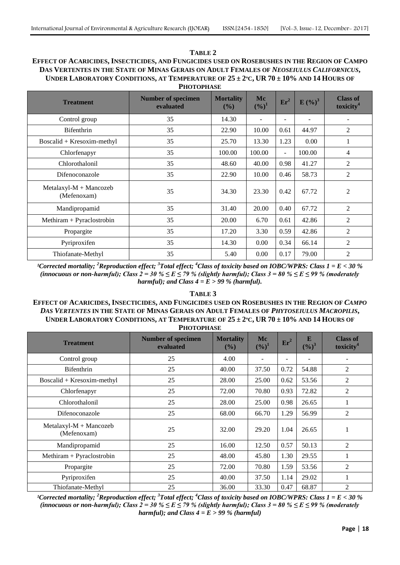## **TABLE 2 EFFECT OF ACARICIDES, INSECTICIDES, AND FUNGICIDES USED ON ROSEBUSHES IN THE REGION OF CAMPO DAS VERTENTES IN THE STATE OF MINAS GERAIS ON ADULT FEMALES OF** *NEOSEIULUS CALIFORNICUS***,** UNDER LABORATORY CONDITIONS, AT TEMPERATURE OF  $25 \pm 2$ °C, UR 70  $\pm 10\%$  AND 14 HOURS OF **PHOTOPHASE**

| <b>Treatment</b>                        | <b>Number of specimen</b><br>evaluated | <b>Mortality</b><br>$($ %) | Mc<br>$(\%)^1$ | $Er^2$                   | $E($ %) <sup>3</sup> | <b>Class of</b><br>toxicity <sup>4</sup> |  |  |
|-----------------------------------------|----------------------------------------|----------------------------|----------------|--------------------------|----------------------|------------------------------------------|--|--|
| Control group                           | 35                                     | 14.30                      | $\overline{a}$ | Ξ.                       |                      |                                          |  |  |
| Bifenthrin                              | 35                                     | 22.90                      | 10.00          | 0.61                     | 44.97                | $\overline{c}$                           |  |  |
| $Boscalid + Kresoxim-methyl$            | 35                                     | 25.70                      | 13.30          | 1.23                     | 0.00                 | 1                                        |  |  |
| Chlorfenapyr                            | 35                                     | 100.00                     | 100.00         | $\overline{\phantom{0}}$ | 100.00               | 4                                        |  |  |
| Chlorothalonil                          | 35                                     | 48.60                      | 40.00          | 0.98                     | 41.27                | 2                                        |  |  |
| Difenoconazole                          | 35                                     | 22.90                      | 10.00          | 0.46                     | 58.73                | 2                                        |  |  |
| $Metalaxyl-M + Mancozeb$<br>(Mefenoxam) | 35                                     | 34.30                      | 23.30          | 0.42                     | 67.72                | $\overline{2}$                           |  |  |
| 35<br>Mandipropamid                     |                                        | 31.40                      | 20.00          | 0.40                     | 67.72                | $\overline{2}$                           |  |  |
| Methiram + Pyraclostrobin               | 35                                     | 20.00                      | 6.70           | 0.61                     | 42.86                | $\overline{2}$                           |  |  |
| Propargite                              | 35                                     | 17.20                      | 3.30           | 0.59                     | 42.86                | $\overline{2}$                           |  |  |
| 35<br>Pyriproxifen                      |                                        | 14.30                      | 0.00           | 0.34                     | 66.14                | $\overline{2}$                           |  |  |
| Thiofanate-Methyl                       | 35                                     | 5.40                       | 0.00           | 0.17                     | 79.00                | $\overline{2}$                           |  |  |

*¹Corrected mortality; <sup>2</sup>Reproduction effect; <sup>3</sup>Total effect; <sup>4</sup>Class of toxicity based on IOBC/WPRS: Class 1 = E < 30 %*  (innocuous or non-harmful); Class  $2 = 30 \% \le E \le 79 \%$  (slightly harmful); Class  $3 = 80 \% \le E \le 99 \%$  (moderately *harmful); and Class*  $4 = E > 99 \%$  *(harmful).* 

#### **TABLE 3**

## **EFFECT OF ACARICIDES, INSECTICIDES, AND FUNGICIDES USED ON ROSEBUSHES IN THE REGION OF** *CAMPO*  DAS VERTENTES IN THE STATE OF MINAS GERAIS ON ADULT FEMALES OF PHYTOSEIULUS MACROPILIS, UNDER LABORATORY CONDITIONS, AT TEMPERATURE OF  $25 \pm 2$ °C, UR 70 ± 10% AND 14 HOURS OF **PHOTOPHASE**

| <b>Treatment</b>                        | <b>Number of specimen</b><br>evaluated | <b>Mortality</b><br>$($ %) | Mc<br>$(%)^1$ | $Er^2$ | E<br>$(\frac{9}{6})^3$ | <b>Class of</b><br>toxicity <sup>4</sup> |  |  |
|-----------------------------------------|----------------------------------------|----------------------------|---------------|--------|------------------------|------------------------------------------|--|--|
| Control group                           | 25                                     | 4.00                       |               | -      |                        |                                          |  |  |
| Bifenthrin                              | 25                                     | 40.00                      | 37.50         | 0.72   | 54.88                  | 2                                        |  |  |
| Boscalid + Kresoxim-methyl              | 25                                     | 28.00                      | 25.00         | 0.62   | 53.56                  | 2                                        |  |  |
| Chlorfenapyr                            | 25                                     | 72.00                      | 70.80         | 0.93   | 72.82                  | $\overline{2}$                           |  |  |
| Chlorothalonil                          | 25                                     | 28.00                      | 25.00         | 0.98   | 26.65                  | 1                                        |  |  |
| Difenoconazole                          | 25                                     | 68.00                      | 66.70         | 1.29   | 56.99                  | 2                                        |  |  |
| $Metalaxyl-M + Mancozeb$<br>(Mefenoxam) | 25                                     | 32.00                      | 29.20         | 1.04   | 26.65                  |                                          |  |  |
| Mandipropamid                           | 25                                     | 16.00                      | 12.50         | 0.57   | 50.13                  | 2                                        |  |  |
| Methiram + Pyraclostrobin               | 25                                     | 48.00                      | 45.80         | 1.30   | 29.55                  | 1                                        |  |  |
| Propargite                              | 25                                     | 72.00                      | 70.80         | 1.59   | 53.56                  | $\overline{2}$                           |  |  |
| Pyriproxifen                            | 25                                     | 40.00                      | 37.50         | 1.14   | 29.02                  |                                          |  |  |
| Thiofanate-Methyl                       | 25                                     | 36.00                      | 33.30         | 0.47   | 68.87                  | $\overline{2}$                           |  |  |

*¹Corrected mortality; <sup>2</sup>Reproduction effect; <sup>3</sup>Total effect; <sup>4</sup>Class of toxicity based on IOBC/WPRS: Class 1 = E < 30 %*  (innocuous or non-harmful); Class  $2 = 30 \% \le E \le 79 \%$  (slightly harmful); Class  $3 = 80 \% \le E \le 99 \%$  (moderately *harmful); and Class 4 = E > 99 % (harmful)*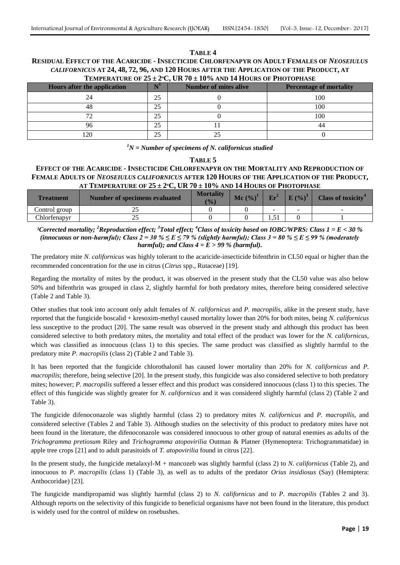#### **TABLE 4 RESIDUAL EFFECT OF THE ACARICIDE - INSECTICIDE CHLORFENAPYR ON ADULT FEMALES OF** *NEOSEIULUS CALIFORNICUS* **AT 24, 48, 72, 96, AND 120 HOURS AFTER THE APPLICATION OF THE PRODUCT, AT TEMPERATURE OF 25 ± 2ºC, UR 70 ± 10% AND 14 HOURS OF PHOTOPHASE**

| <b>TEMI ENATURE OF 20 ± 2 C, ON TU ± 10 70 AND 17 HOUNS OF 1 HOTOI HASE</b> |    |                              |                                |  |  |  |  |  |
|-----------------------------------------------------------------------------|----|------------------------------|--------------------------------|--|--|--|--|--|
| Hours after the application                                                 |    | <b>Number of mites alive</b> | <b>Percentage of mortality</b> |  |  |  |  |  |
|                                                                             | 25 |                              | 100                            |  |  |  |  |  |
| 48                                                                          | 25 |                              | 100                            |  |  |  |  |  |
|                                                                             | 25 |                              | 100                            |  |  |  |  |  |
|                                                                             | 25 |                              | 44                             |  |  |  |  |  |
| 120                                                                         | 25 |                              |                                |  |  |  |  |  |

## *<sup>1</sup>N = Number of specimens of N. californicus studied*

## **TABLE 5**

## **EFFECT OF THE ACARICIDE - INSECTICIDE CHLORFENAPYR ON THE MORTALITY AND REPRODUCTION OF FEMALE ADULTS OF** *NEOSEIULUS CALIFORNICUS* **AFTER 120 HOURS OF THE APPLICATION OF THE PRODUCT, AT TEMPERATURE OF 25 ± 2ºC, UR 70 ± 10% AND 14 HOURS OF PHOTOPHASE**

| <b>Treatment</b> | Number of specimens evaluated | <b>Mortality</b><br>(9/0) | Mc $(\%)^1$ | Er <sup>2</sup> | $E($ %) <sup>3</sup>     | Class of toxicity <sup>4</sup> |
|------------------|-------------------------------|---------------------------|-------------|-----------------|--------------------------|--------------------------------|
| Control group    | ت                             |                           |             | $\sim$          | $\overline{\phantom{a}}$ | -                              |
| Chlorfenapvr     | ت                             |                           |             | $-1$<br>1.J 1   |                          |                                |

*¹Corrected mortality; <sup>2</sup>Reproduction effect; <sup>3</sup>Total effect; <sup>4</sup>Class of toxicity based on IOBC/WPRS: Class 1 = E < 30 %*  (innocuous or non-harmful); Class  $2 = 30 \% \le E \le 79 \%$  (slightly harmful); Class  $3 = 80 \% \le E \le 99 \%$  (moderately *harmful); and Class 4 = E > 99 % (harmful).*

The predatory mite *N*. *californicus* was highly tolerant to the acaricide-insecticide bifenthrin in CL50 equal or higher than the recommended concentration for the use in citrus (*Citrus* spp., Rutaceae) [19].

Regarding the mortality of mites by the product, it was observed in the present study that the CL50 value was also below 50% and bifenthrin was grouped in class 2, slightly harmful for both predatory mites, therefore being considered selective (Table 2 and Table 3).

Other studies that took into account only adult females of *N. californicus* and *P. macropilis*, alike in the present study, have reported that the fungicide boscalid + kresoxim-methyl caused mortality lower than 20% for both mites, being *N. californicus*  less susceptive to the product [20]. The same result was observed in the present study and although this product has been considered selective to both predatory mites, the mortality and total effect of the product was lower for the *N. californicus*, which was classified as innocuous (class 1) to this species. The same product was classified as slightly harmful to the predatory mite *P. macropilis* (class 2) (Table 2 and Table 3).

It has been reported that the fungicide chlorothalonil has caused lower mortality than 20% for *N. californicus* and *P. macropilis*; therefore, being selective [20]. In the present study, this fungicide was also considered selective to both predatory mites; however; *P. macropilis* suffered a lesser effect and this product was considered innocuous (class 1) to this species. The effect of this fungicide was slightly greater for *N. californicus* and it was considered slightly harmful (class 2) (Table 2 and Table 3).

The fungicide difenoconazole was slightly harmful (class 2) to predatory mites *N. californicus* and *P. macropilis*, and considered selective (Tables 2 and Table 3). Although studies on the selectivity of this product to predatory mites have not been found in the literature, the difenoconazole was considered innocuous to other group of natural enemies as adults of the *Trichogramma pretiosum* Riley and *Trichogramma atopovirilia* Outman & Platner (Hymenoptera: Trichogrammatidae) in apple tree crops [21] and to adult parasitoids of *T. atopovirilia* found in citrus [22].

In the present study, the fungicide metalaxyl-M + mancozeb was slightly harmful (class 2) to *N. californicus* (Table 2), and innocuous to *P. macropilis* (class 1) (Table 3), as well as to adults of the predator *Orius insidiosus* (Say) (Hemiptera: Anthocoridae) [23].

The fungicide mandipropamid was slightly harmful (class 2) to *N. californicus* and to *P. macropilis* (Tables 2 and 3)*.*  Although reports on the selectivity of this fungicide to beneficial organisms have not been found in the literature, this product is widely used for the control of mildew on rosebushes.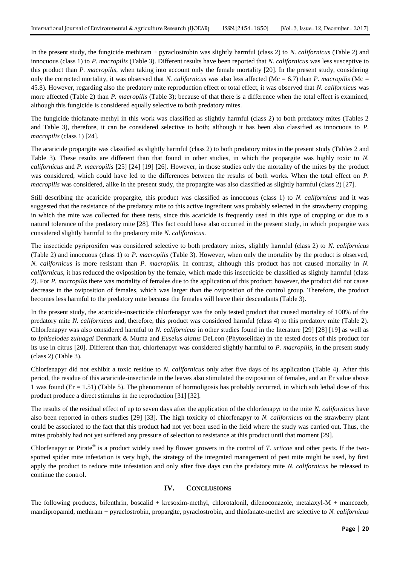In the present study, the fungicide methiram + pyraclostrobin was slightly harmful (class 2) to *N. californicus* (Table 2) and innocuous (class 1) to *P. macropilis* (Table 3). Different results have been reported that *N. californicus* was less susceptive to this product than *P. macropilis*, when taking into account only the female mortality [20]. In the present study, considering only the corrected mortality, it was observed that *N. californicus* was also less affected (Mc = 6.7) than *P. macropilis* (Mc = 45.8)*.* However, regarding also the predatory mite reproduction effect or total effect, it was observed that *N. californicus* was more affected (Table 2) than *P. macropilis* (Table 3); because of that there is a difference when the total effect is examined, although this fungicide is considered equally selective to both predatory mites.

The fungicide thiofanate-methyl in this work was classified as slightly harmful (class 2) to both predatory mites (Tables 2 and Table 3), therefore, it can be considered selective to both; although it has been also classified as innocuous to *P. macropilis* (class 1) [24].

The acaricide propargite was classified as slightly harmful (class 2) to both predatory mites in the present study (Tables 2 and Table 3). These results are different than that found in other studies, in which the propargite was highly toxic to *N. californicus* and *P. macropilis* [25] [24] [19] [26]. However, in those studies only the mortality of the mites by the product was considered, which could have led to the differences between the results of both works. When the total effect on *P. macropilis* was considered, alike in the present study, the propargite was also classified as slightly harmful (class 2) [27].

Still describing the acaricide propargite, this product was classified as innocuous (class 1) to *N. californicus* and it was suggested that the resistance of the predatory mite to this active ingredient was probably selected in the strawberry cropping, in which the mite was collected for these tests, since this acaricide is frequently used in this type of cropping or due to a natural tolerance of the predatory mite [28]. This fact could have also occurred in the present study, in which propargite was considered slightly harmful to the predatory mite *N. californicus*.

The insecticide pyriproxifen was considered selective to both predatory mites, slightly harmful (class 2) to *N. californicus* (Table 2) and innocuous (class 1) to *P. macropilis* (Table 3). However, when only the mortality by the product is observed, *N. californicus* is more resistant than *P. macropilis.* In contrast, although this product has not caused mortality in *N. californicus*, it has reduced the oviposition by the female, which made this insecticide be classified as slightly harmful (class 2). For *P. macropilis* there was mortality of females due to the application of this product; however, the product did not cause decrease in the oviposition of females, which was larger than the oviposition of the control group. Therefore, the product becomes less harmful to the predatory mite because the females will leave their descendants (Table 3).

In the present study, the acaricide-insecticide chlorfenapyr was the only tested product that caused mortality of 100% of the predatory mite *N. californicus* and, therefore, this product was considered harmful (class 4) to this predatory mite (Table 2). Chlorfenapyr was also considered harmful to *N. californicus* in other studies found in the literature [29] [28] [19] as well as to *Iphiseiodes zuluagai* Denmark & Muma and *Euseius alatus* DeLeon (Phytoseiidae) in the tested doses of this product for its use in citrus [20]. Different than that, chlorfenapyr was considered slightly harmful to *P. macropilis*, in the present study (class 2) (Table 3).

Chlorfenapyr did not exhibit a toxic residue to *N. californicus* only after five days of its application (Table 4). After this period, the residue of this acaricide-insecticide in the leaves also stimulated the oviposition of females, and an Er value above 1 was found (Er = 1.51) (Table 5). The phenomenon of hormoligosis has probably occurred, in which sub lethal dose of this product produce a direct stimulus in the reproduction [31] [32].

The results of the residual effect of up to seven days after the application of the chlorfenapyr to the mite *N. californicus* have also been reported in others studies [29] [33]. The high toxicity of chlorfenapyr to *N. californicus* on the strawberry plant could be associated to the fact that this product had not yet been used in the field where the study was carried out. Thus, the mites probably had not yet suffered any pressure of selection to resistance at this product until that moment [29].

Chlorfenapyr or Pirate<sup>®</sup> is a product widely used by flower growers in the control of *T. urticae* and other pests. If the twospotted spider mite infestation is very high, the strategy of the integrated management of pest mite might be used, by first apply the product to reduce mite infestation and only after five days can the predatory mite *N. californicus* be released to continue the control.

## **IV. CONCLUSIONS**

The following products, bifenthrin, boscalid + kresoxim-methyl, chlorotalonil, difenoconazole, metalaxyl-M + mancozeb, mandipropamid, methiram + pyraclostrobin, propargite, pyraclostrobin, and thiofanate-methyl are selective to *N. californicus*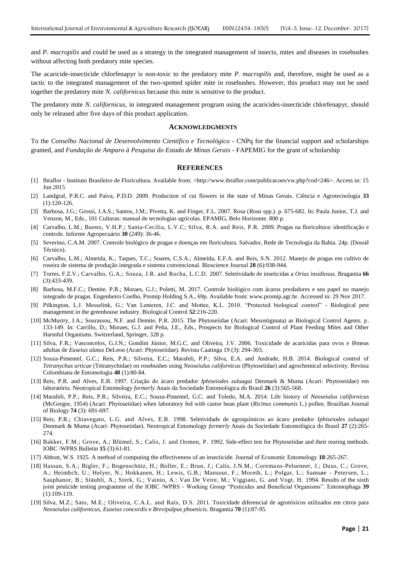and *P. macropilis* and could be used as a strategy in the integrated management of insects, mites and diseases in rosebushes without affecting both predatory mite species.

The acaricide-insecticide chlorfenapyr is non-toxic to the predatory mite *P. macropilis* and, therefore, might be used as a tactic to the integrated management of the two-spotted spider mite in rosebushes. However, this product may not be used together the predatory mite *N. californicus* because this mite is sensitive to the product.

The predatory mite *N. californicus*, in integrated management program using the acaricides-insecticide chlorfenapyr, should only be released after five days of this product application.

#### **ACKNOWLEDGMENTS**

To the *Conselho Nacional de Desenvolvimento Científico e Tecnológico* - CNPq for the financial support and scholarships granted, and *Fundação de Amparo à Pesquisa do Estado de Minas Gerais -* FAPEMIG for the grant of scholarship

#### **REFERENCES**

- [1] Ibraflor Instituto Brasileiro de Floricultura. Available from: <http://www.ibraflor.com/publicacoes/vw.php?cod=246>. Access in: 15 Jun 2015
- [2] Landgraf, P.R.C. and Paiva, P.D.D. 2009. Production of cut flowers in the state of Minas Gerais. Ciência e Agrotecnologia **33** (1):120-126.
- [3] Barbosa, J.G.; Grossi, J.A.S.; Santos, J.M.; Pivetta, K. and Finger, F.L. 2007. Rosa (*Rosa* spp.). p. 675-682. In: Paula Junior, T.J. and Venzon, M., Eds., 101 Culturas: manual de tecnologias agrícolas. EPAMIG, Belo Horizonte. 800 p.
- [4] Carvalho, L.M.; Bueno, V.H.P.; Santa-Cecília, L.V.C; Silva, R.A. and Reis, P.R. 2009. Pragas na floricultura: identificação e controle. Informe Agropecuário **30** (249): 36-46.
- [5] Severino, C.A.M. 2007. Controle biológico de pragas e doenças em floricultura. Salvador, Rede de Tecnologia da Bahia. 24p. (Dossiê Técnico).
- [6] Carvalho, L.M.; Almeida, K.; Taques, T.C.; Soares, C.S.A.; Almeida, E.F.A. and Reis, S.N. 2012. Manejo de pragas em cultivo de roseira de sistema de produção integrada e sistema convencional. Bioscience Journal **28** (6):938-944.
- [7] Torres, F.Z.V.; Carvalho, G.A.; Souza, J.R. and Rocha, L.C.D. 2007. Seletividade de inseticidas a *Orius insidiosus*. Bragantia **66** (3):433-439.
- [8] Barbosa, M.F.C.; Demite. P.R.; Moraes, G.J.; Poletti, M. 2017. Controle biológico com ácaros predadores e seu papel no manejo integrado de pragas. Engenheiro Coelho, Promip Holding S.A., 69p. Available from: www.promip.agr.br. Accessed in: 29 Nov 2017.
- [9] Pilkington, L.J. Messelink, G.; Van Lenteren, J.C. and Mottee, K.L. 2010. "Protected biological control" Biological pest management in the greenhouse industry. Biological Control **52**:216-220.
- [10] McMurtry, J.A.; Sourassou, N.F. and Demite, P.R. 2015. The Phytoseiidae (Acari: Mesostigmata) as Biological Control Agents. p. 133-149. In: Carrillo, D.; Moraes, G.J. and Peña, J.E., Eds., Prospects for Biological Control of Plant Feeding Mites and Other Harmful Organisms. Switzerland, Springer, 328 p.
- [11] Silva, F.R.; Vasconcelos, G.J.N.; Gondim Júnior, M.G.C. and Oliveira, J.V. 2006. Toxicidade de acaricidas para ovos e fêmeas adultas de *Euseius alatus* DeLeon (Acari: Phytoseiidae). Revista Caatinga 19 (3): 294-303.
- [12] Souza-Pimentel, G.C.; Reis, P.R.; Silveira, E.C.; Marafeli, P.P.; Silva, E.A. and Andrade, H.B. 2014. Biological control of *Tetranychus urticae* (Tetranychidae) on rosebushes using *Neoseiulus californicus* (Phytoseiidae) and agrochemical selectivity. Revista Colombiana de Entomologia **40** (1):80-84.
- [13] Reis, P.R. and Alves, E.B. 1997. Criação do ácaro predador *Iphiseiodes zuluagai* Denmark & Muma (Acari: Phytoseiidae) em laboratório. Neotropical Entomology *formerly* Anais da Sociedade Entomológica do Brasil **26** (3):565-568.
- [14] Marafeli, P.P.; Reis, P.R.; Silveira, E.C.; Souza-Pimentel, G.C. and Toledo, M.A. 2014. Life history of *Neoseiulus californicus* (McGregor, 1954) (Acari: Phytoseiidae) when laboratory fed with castor bean plant (*Ricinus communis* L.) pollen. Brazilian Journal of Biology **74** (3): 691-697.
- [15] Reis, P.R.; Chiavegato, L.G. and Alves, E.B. 1998. Seletividade de agroquímicos ao ácaro predador *Iphiseiodes zuluagai*  Denmark & Muma (Acari: Phytoseiidae). Neotropical Entomology *formerly* Anais da Sociedade Entomológica do Brasil **27** (2):265- 274.
- [16] Bakker, F.M.; Grove, A.; Blümel, S.; Calis, J. and Oomen, P. 1992. Side-effect test for Phytoseiidae and their rearing methods. IOBC /WPRS Bulletin **15** (3):61-81.
- [17] Abbott, W.S. 1925. A method of computing the effectiveness of an insecticide. Journal of Economic Entomology **18**:265-267.
- [18] Hassan, S.A.; Bigler, F.; Bogenschütz, H.; Boller, E.; Brun, J.; Calis, J.N.M.; Corema ns-Pelseneer, J.; Duso, C.; Grove, A.; Heimbch, U.; Helyer, N.; Hokkanen, H.; Lewis, G.B.; Mansour, F.; Moreth, L.; Polgar, L.; Samsøe - Petersen, L.; Sauphanor, B.; Stäubli, A.; Sterk, G.; Vainio, A.: Van De Veire, M.; Viggiani, G. and Vogt, H. 1994. Results of the sixth joint pesticide testing programme of the IOBC /WPRS - Working Group "Pesticides and Beneficial Organisms". Entomophaga **39** (1):109-119.
- [19] Silva, M.Z.; Sato, M.E.; Oliveira, C.A.L. and Rais, D.S. 2011. Toxicidade diferencial de agrotóxicos utilizados em citros para *Neoseiulus californicus*, *Euseius concordis* e *Brevipalpus phoenicis*. Bragantia **70** (1):87-95.